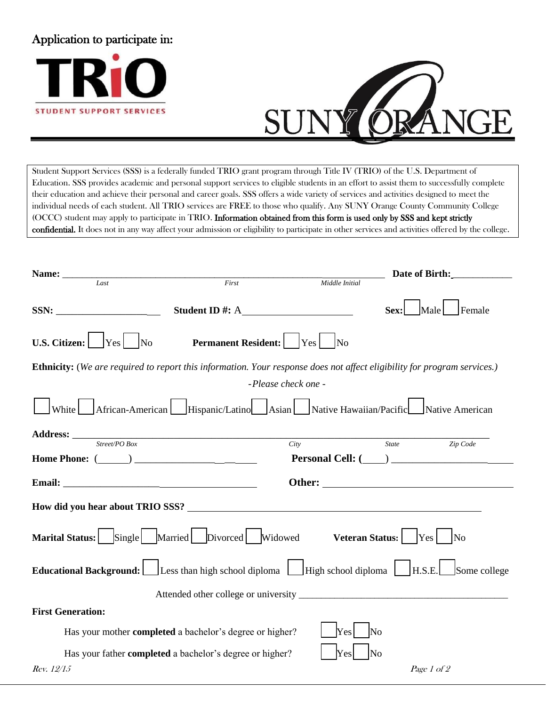## Application to participate in:





Student Support Services (SSS) is a federally funded TRIO grant program through Title IV (TRIO) of the U.S. Department of Education. SSS provides academic and personal support services to eligible students in an effort to assist them to successfully complete their education and achieve their personal and career goals. SSS offers a wide variety of services and activities designed to meet the individual needs of each student. All TRIO services are FREE to those who qualify. Any SUNY Orange County Community College (OCCC) student may apply to participate in TRIO. Information obtained from this form is used only by SSS and kept strictly confidential. It does not in any way affect your admission or eligibility to participate in other services and activities offered by the college.

| Name: ______                                                                                                             |                                                                 |                |       |                |  |  |  |  |
|--------------------------------------------------------------------------------------------------------------------------|-----------------------------------------------------------------|----------------|-------|----------------|--|--|--|--|
| Last                                                                                                                     | First                                                           | Middle Initial |       |                |  |  |  |  |
|                                                                                                                          |                                                                 |                | Sex:  | Female<br>Male |  |  |  |  |
| U.S. Citizen: $Yes$ No                                                                                                   | <b>Permanent Resident:</b>   Yes   No                           |                |       |                |  |  |  |  |
| Ethnicity: (We are required to report this information. Your response does not affect eligibility for program services.) |                                                                 |                |       |                |  |  |  |  |
| - Please check one -                                                                                                     |                                                                 |                |       |                |  |  |  |  |
| $\Box$ White $\Box$ African-American $\Box$ Hispanic/Latino Asian Native Hawaiian/Pacific Native American                |                                                                 |                |       |                |  |  |  |  |
| $\textbf{Address:}$ $\frac{\textit{Street} \textit{PO Box}}{\textit{Street} \textit{PO Box}}$                            |                                                                 |                |       |                |  |  |  |  |
|                                                                                                                          |                                                                 | City           | State | Zip Code       |  |  |  |  |
|                                                                                                                          |                                                                 |                |       |                |  |  |  |  |
|                                                                                                                          |                                                                 |                |       | Other:         |  |  |  |  |
| How did you hear about TRIO SSS?                                                                                         |                                                                 |                |       |                |  |  |  |  |
| Marital Status: Single Married Divorced Widowed Veteran Status: Yes No                                                   |                                                                 |                |       |                |  |  |  |  |
| Educational Background: Less than high school diploma High school diploma H.S.E. Some college                            |                                                                 |                |       |                |  |  |  |  |
|                                                                                                                          |                                                                 |                |       |                |  |  |  |  |
| <b>First Generation:</b>                                                                                                 |                                                                 |                |       |                |  |  |  |  |
|                                                                                                                          | Has your mother completed a bachelor's degree or higher?        | Yes            | No    |                |  |  |  |  |
|                                                                                                                          | Has your father <b>completed</b> a bachelor's degree or higher? | Yes            | No    |                |  |  |  |  |
| Rev. 12/15                                                                                                               |                                                                 |                |       | Page 1 of 2    |  |  |  |  |